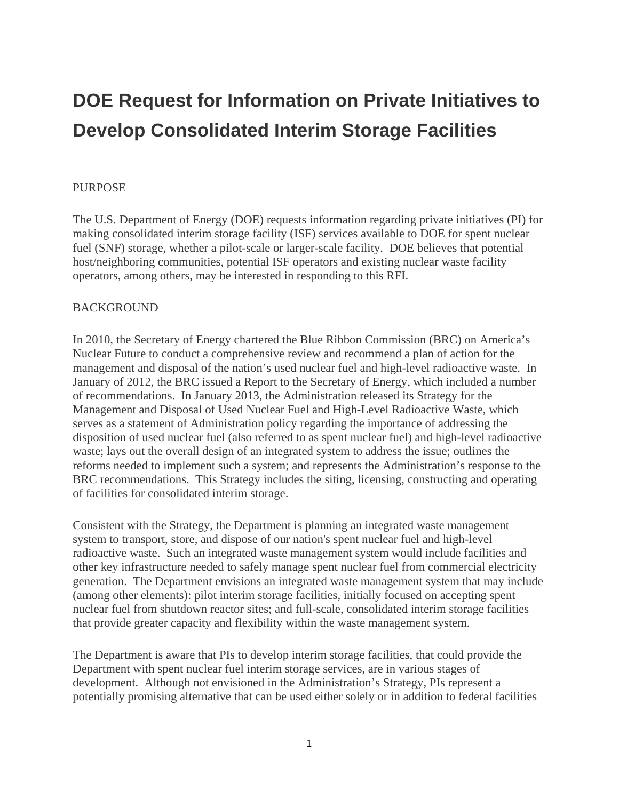# **DOE Request for Information on Private Initiatives to Develop Consolidated Interim Storage Facilities**

#### PURPOSE

The U.S. Department of Energy (DOE) requests information regarding private initiatives (PI) for making consolidated interim storage facility (ISF) services available to DOE for spent nuclear fuel (SNF) storage, whether a pilot-scale or larger-scale facility. DOE believes that potential host/neighboring communities, potential ISF operators and existing nuclear waste facility operators, among others, may be interested in responding to this RFI.

#### BACKGROUND

In 2010, the Secretary of Energy chartered the Blue Ribbon Commission (BRC) on America's Nuclear Future to conduct a comprehensive review and recommend a plan of action for the management and disposal of the nation's used nuclear fuel and high-level radioactive waste. In January of 2012, the BRC issued a Report to the Secretary of Energy, which included a number of recommendations. In January 2013, the Administration released its Strategy for the Management and Disposal of Used Nuclear Fuel and High-Level Radioactive Waste, which serves as a statement of Administration policy regarding the importance of addressing the disposition of used nuclear fuel (also referred to as spent nuclear fuel) and high-level radioactive waste; lays out the overall design of an integrated system to address the issue; outlines the reforms needed to implement such a system; and represents the Administration's response to the BRC recommendations. This Strategy includes the siting, licensing, constructing and operating of facilities for consolidated interim storage.

Consistent with the Strategy, the Department is planning an integrated waste management system to transport, store, and dispose of our nation's spent nuclear fuel and high-level radioactive waste. Such an integrated waste management system would include facilities and other key infrastructure needed to safely manage spent nuclear fuel from commercial electricity generation. The Department envisions an integrated waste management system that may include (among other elements): pilot interim storage facilities, initially focused on accepting spent nuclear fuel from shutdown reactor sites; and full-scale, consolidated interim storage facilities that provide greater capacity and flexibility within the waste management system.

The Department is aware that PIs to develop interim storage facilities, that could provide the Department with spent nuclear fuel interim storage services, are in various stages of development. Although not envisioned in the Administration's Strategy, PIs represent a potentially promising alternative that can be used either solely or in addition to federal facilities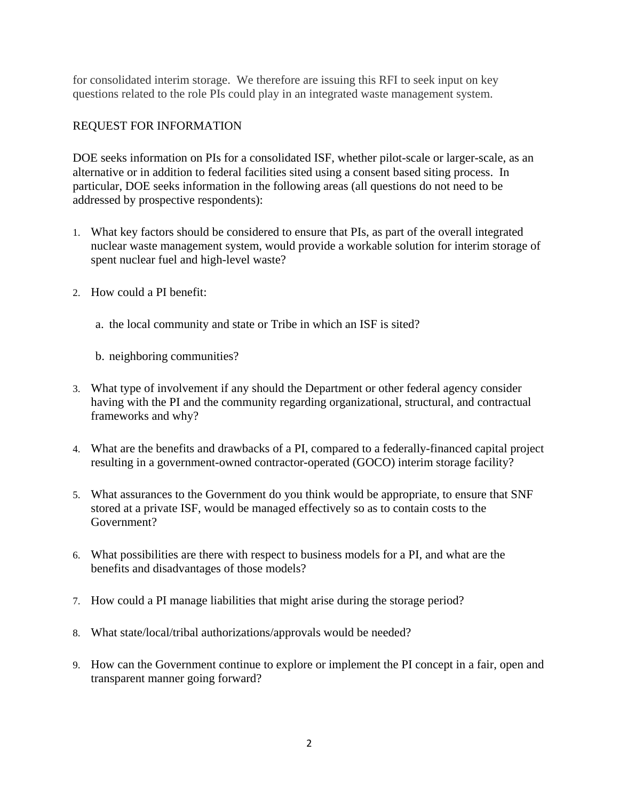for consolidated interim storage. We therefore are issuing this RFI to seek input on key questions related to the role PIs could play in an integrated waste management system.

## REQUEST FOR INFORMATION

DOE seeks information on PIs for a consolidated ISF, whether pilot-scale or larger-scale, as an alternative or in addition to federal facilities sited using a consent based siting process. In particular, DOE seeks information in the following areas (all questions do not need to be addressed by prospective respondents):

- 1. What key factors should be considered to ensure that PIs, as part of the overall integrated nuclear waste management system, would provide a workable solution for interim storage of spent nuclear fuel and high-level waste?
- 2. How could a PI benefit:
	- a. the local community and state or Tribe in which an ISF is sited?

b. neighboring communities?

- 3. What type of involvement if any should the Department or other federal agency consider having with the PI and the community regarding organizational, structural, and contractual frameworks and why?
- 4. What are the benefits and drawbacks of a PI, compared to a federally-financed capital project resulting in a government-owned contractor-operated (GOCO) interim storage facility?
- 5. What assurances to the Government do you think would be appropriate, to ensure that SNF stored at a private ISF, would be managed effectively so as to contain costs to the Government?
- 6. What possibilities are there with respect to business models for a PI, and what are the benefits and disadvantages of those models?
- 7. How could a PI manage liabilities that might arise during the storage period?
- 8. What state/local/tribal authorizations/approvals would be needed?
- 9. How can the Government continue to explore or implement the PI concept in a fair, open and transparent manner going forward?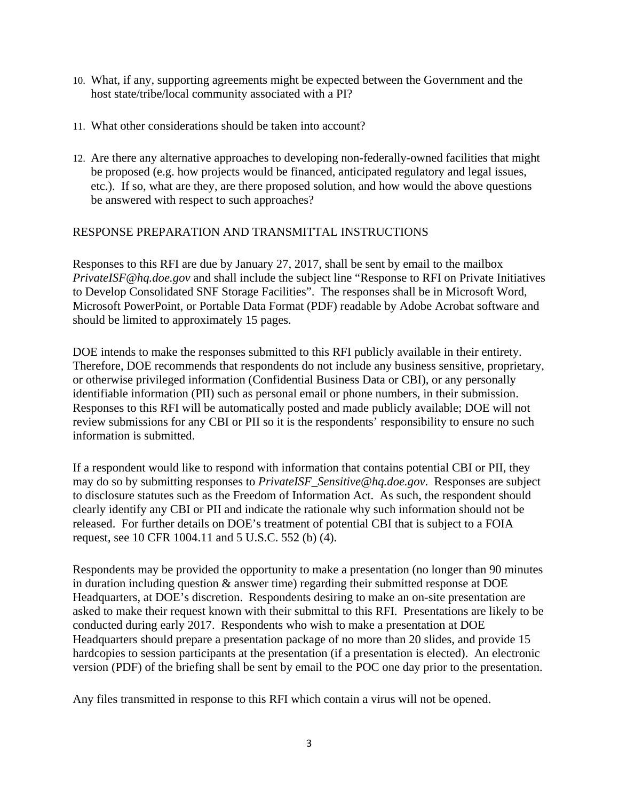- 10. What, if any, supporting agreements might be expected between the Government and the host state/tribe/local community associated with a PI?
- 11. What other considerations should be taken into account?
- 12. Are there any alternative approaches to developing non-federally-owned facilities that might be proposed (e.g. how projects would be financed, anticipated regulatory and legal issues, etc.). If so, what are they, are there proposed solution, and how would the above questions be answered with respect to such approaches?

## RESPONSE PREPARATION AND TRANSMITTAL INSTRUCTIONS

Responses to this RFI are due by January 27, 2017, shall be sent by email to the mailbox *PrivateISF@hq.doe.gov* and shall include the subject line "Response to RFI on Private Initiatives to Develop Consolidated SNF Storage Facilities". The responses shall be in Microsoft Word, Microsoft PowerPoint, or Portable Data Format (PDF) readable by Adobe Acrobat software and should be limited to approximately 15 pages.

DOE intends to make the responses submitted to this RFI publicly available in their entirety. Therefore, DOE recommends that respondents do not include any business sensitive, proprietary, or otherwise privileged information (Confidential Business Data or CBI), or any personally identifiable information (PII) such as personal email or phone numbers, in their submission. Responses to this RFI will be automatically posted and made publicly available; DOE will not review submissions for any CBI or PII so it is the respondents' responsibility to ensure no such information is submitted.

If a respondent would like to respond with information that contains potential CBI or PII, they may do so by submitting responses to *PrivateISF\_Sensitive@hq.doe.gov*. Responses are subject to disclosure statutes such as the Freedom of Information Act. As such, the respondent should clearly identify any CBI or PII and indicate the rationale why such information should not be released. For further details on DOE's treatment of potential CBI that is subject to a FOIA request, see 10 CFR 1004.11 and 5 U.S.C. 552 (b) (4).

Respondents may be provided the opportunity to make a presentation (no longer than 90 minutes in duration including question  $\&$  answer time) regarding their submitted response at DOE Headquarters, at DOE's discretion. Respondents desiring to make an on-site presentation are asked to make their request known with their submittal to this RFI. Presentations are likely to be conducted during early 2017. Respondents who wish to make a presentation at DOE Headquarters should prepare a presentation package of no more than 20 slides, and provide 15 hardcopies to session participants at the presentation (if a presentation is elected). An electronic version (PDF) of the briefing shall be sent by email to the POC one day prior to the presentation.

Any files transmitted in response to this RFI which contain a virus will not be opened.